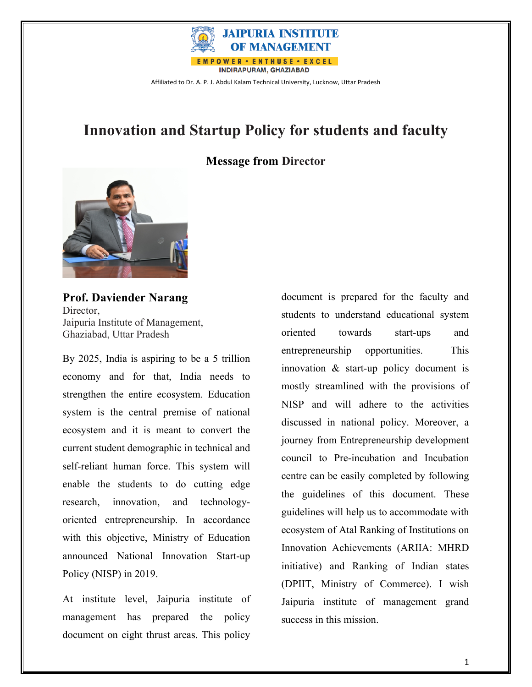

## **Innovation and Startup Policy for students and faculty**

#### **Message from Director**



**Prof. Daviender Narang** Director, Jaipuria Institute of Management, Ghaziabad, Uttar Pradesh

By 2025, India is aspiring to be a 5 trillion economy and for that, India needs to strengthen the entire ecosystem. Education system is the central premise of national ecosystem and it is meant to convert the current student demographic in technical and self-reliant human force. This system will enable the students to do cutting edge research, innovation, and technologyoriented entrepreneurship. In accordance with this objective, Ministry of Education announced National Innovation Start-up Policy (NISP) in 2019.

At institute level, Jaipuria institute of management has prepared the policy document on eight thrust areas. This policy

document is prepared for the faculty and students to understand educational system oriented towards start-ups and entrepreneurship opportunities. This innovation & start-up policy document is mostly streamlined with the provisions of NISP and will adhere to the activities discussed in national policy. Moreover, a journey from Entrepreneurship development council to Pre-incubation and Incubation centre can be easily completed by following the guidelines of this document. These guidelines will help us to accommodate with ecosystem of Atal Ranking of Institutions on Innovation Achievements (ARIIA: MHRD initiative) and Ranking of Indian states (DPIIT, Ministry of Commerce). I wish Jaipuria institute of management grand success in this mission.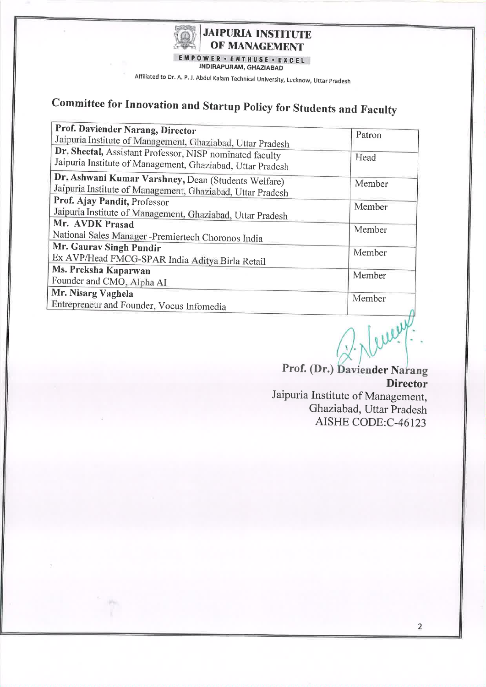

INDIRAPURAM, GHAZIABAD

Affiliated to Dr. A. P. J. Abdul Kalam Technical University, Lucknow, Uttar Pradesh

# Committee for Innovation and Startup Policy for Students and Faculty

| Prof. Daviender Narang, Director                                                                                       | Patron |
|------------------------------------------------------------------------------------------------------------------------|--------|
| Jaipuria Institute of Management, Ghaziabad, Uttar Pradesh                                                             |        |
| Dr. Sheetal, Assistant Professor, NISP nominated faculty<br>Jaipuria Institute of Management, Ghaziabad, Uttar Pradesh | Head   |
| Dr. Ashwani Kumar Varshney, Dean (Students Welfare)<br>Jaipuria Institute of Management, Ghaziabad, Uttar Pradesh      | Member |
| Prof. Ajay Pandit, Professor<br>Jaipuria Institute of Management, Ghaziabad, Uttar Pradesh                             | Member |
| Mr. AVDK Prasad<br>National Sales Manager -Premiertech Choronos India                                                  | Member |
| Mr. Gaurav Singh Pundir<br>Ex AVP/Head FMCG-SPAR India Aditya Birla Retail                                             | Member |
| Ms. Preksha Kaparwan<br>Founder and CMO, Alpha AI                                                                      | Member |
| Mr. Nisarg Vaghela<br>Entrepreneur and Founder, Vocus Infomedia                                                        | Member |

Prof. (Dr.) Daviender Narang

**Director** 

Jaipuria Institute of Management, Ghaziabad, Uttar Pradesh AISHE CODE:C-46123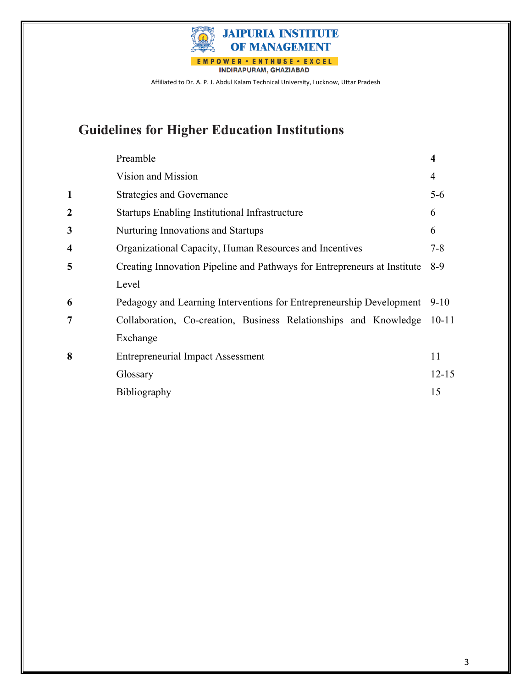

## **Guidelines for Higher Education Institutions**

|   | Preamble                                                                 | 4         |
|---|--------------------------------------------------------------------------|-----------|
|   | Vision and Mission                                                       | 4         |
|   | <b>Strategies and Governance</b>                                         | $5 - 6$   |
| 2 | Startups Enabling Institutional Infrastructure                           | 6         |
| 3 | Nurturing Innovations and Startups                                       | 6         |
| 4 | Organizational Capacity, Human Resources and Incentives                  | $7 - 8$   |
| 5 | Creating Innovation Pipeline and Pathways for Entrepreneurs at Institute | $8-9$     |
|   | Level                                                                    |           |
| 6 | Pedagogy and Learning Interventions for Entrepreneurship Development     | $9 - 10$  |
| 7 | Collaboration, Co-creation, Business Relationships and Knowledge         | $10 - 11$ |
|   | Exchange                                                                 |           |
| 8 | <b>Entrepreneurial Impact Assessment</b>                                 | 11        |
|   | Glossary                                                                 | $12 - 15$ |
|   | Bibliography                                                             | 15        |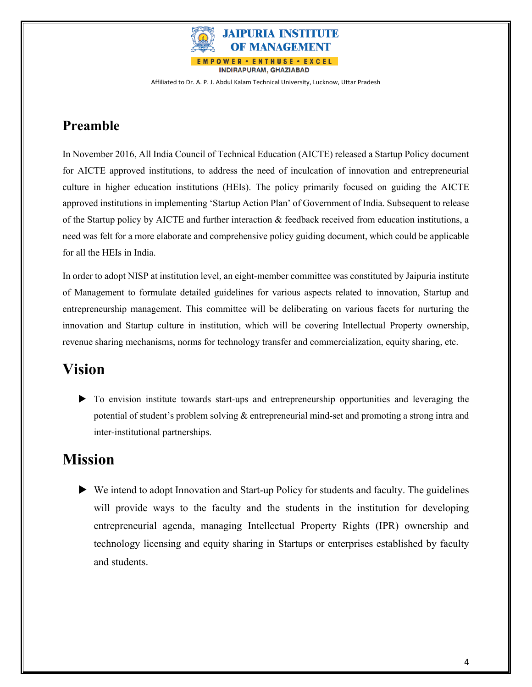

## **Preamble**

In November 2016, All India Council of Technical Education (AICTE) released a Startup Policy document for AICTE approved institutions, to address the need of inculcation of innovation and entrepreneurial culture in higher education institutions (HEIs). The policy primarily focused on guiding the AICTE approved institutions in implementing 'Startup Action Plan' of Government of India. Subsequent to release of the Startup policy by AICTE and further interaction & feedback received from education institutions, a need was felt for a more elaborate and comprehensive policy guiding document, which could be applicable for all the HEIs in India.

In order to adopt NISP at institution level, an eight-member committee was constituted by Jaipuria institute of Management to formulate detailed guidelines for various aspects related to innovation, Startup and entrepreneurship management. This committee will be deliberating on various facets for nurturing the innovation and Startup culture in institution, which will be covering Intellectual Property ownership, revenue sharing mechanisms, norms for technology transfer and commercialization, equity sharing, etc.

## **Vision**

u To envision institute towards start-ups and entrepreneurship opportunities and leveraging the potential of student's problem solving & entrepreneurial mind-set and promoting a strong intra and inter-institutional partnerships.

## **Mission**

u We intend to adopt Innovation and Start-up Policy for students and faculty. The guidelines will provide ways to the faculty and the students in the institution for developing entrepreneurial agenda, managing Intellectual Property Rights (IPR) ownership and technology licensing and equity sharing in Startups or enterprises established by faculty and students.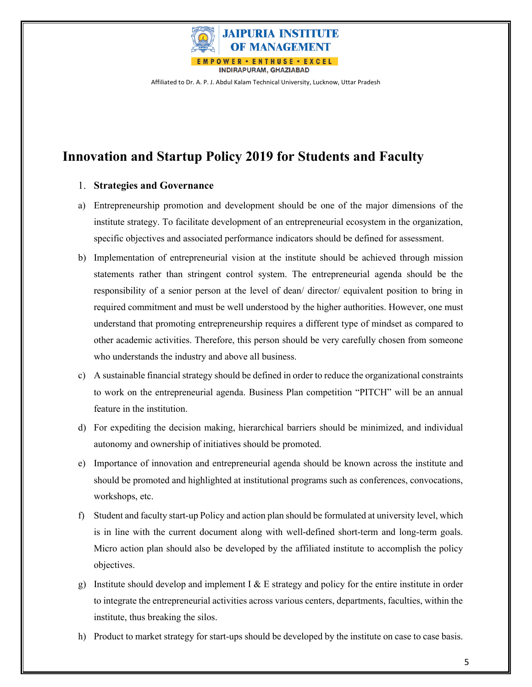

### **Innovation and Startup Policy 2019 for Students and Faculty**

#### 1. **Strategies and Governance**

- a) Entrepreneurship promotion and development should be one of the major dimensions of the institute strategy. To facilitate development of an entrepreneurial ecosystem in the organization, specific objectives and associated performance indicators should be defined for assessment.
- b) Implementation of entrepreneurial vision at the institute should be achieved through mission statements rather than stringent control system. The entrepreneurial agenda should be the responsibility of a senior person at the level of dean/ director/ equivalent position to bring in required commitment and must be well understood by the higher authorities. However, one must understand that promoting entrepreneurship requires a different type of mindset as compared to other academic activities. Therefore, this person should be very carefully chosen from someone who understands the industry and above all business.
- c) A sustainable financial strategy should be defined in order to reduce the organizational constraints to work on the entrepreneurial agenda. Business Plan competition "PITCH" will be an annual feature in the institution.
- d) For expediting the decision making, hierarchical barriers should be minimized, and individual autonomy and ownership of initiatives should be promoted.
- e) Importance of innovation and entrepreneurial agenda should be known across the institute and should be promoted and highlighted at institutional programs such as conferences, convocations, workshops, etc.
- f) Student and faculty start-up Policy and action plan should be formulated at university level, which is in line with the current document along with well-defined short-term and long-term goals. Micro action plan should also be developed by the affiliated institute to accomplish the policy objectives.
- g) Institute should develop and implement I  $\&$  E strategy and policy for the entire institute in order to integrate the entrepreneurial activities across various centers, departments, faculties, within the institute, thus breaking the silos.
- h) Product to market strategy for start-ups should be developed by the institute on case to case basis.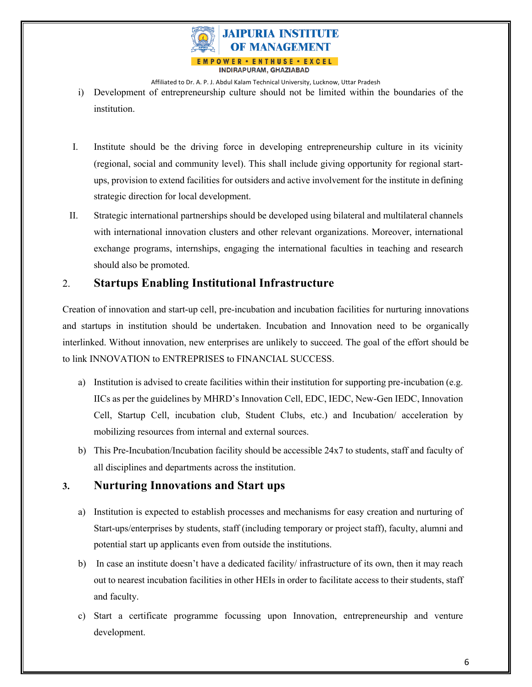

- i) Development of entrepreneurship culture should not be limited within the boundaries of the institution.
- I. Institute should be the driving force in developing entrepreneurship culture in its vicinity (regional, social and community level). This shall include giving opportunity for regional startups, provision to extend facilities for outsiders and active involvement for the institute in defining strategic direction for local development.
- II. Strategic international partnerships should be developed using bilateral and multilateral channels with international innovation clusters and other relevant organizations. Moreover, international exchange programs, internships, engaging the international faculties in teaching and research should also be promoted.

#### 2. **Startups Enabling Institutional Infrastructure**

Creation of innovation and start-up cell, pre-incubation and incubation facilities for nurturing innovations and startups in institution should be undertaken. Incubation and Innovation need to be organically interlinked. Without innovation, new enterprises are unlikely to succeed. The goal of the effort should be to link INNOVATION to ENTREPRISES to FINANCIAL SUCCESS.

- a) Institution is advised to create facilities within their institution for supporting pre-incubation (e.g. IICs as per the guidelines by MHRD's Innovation Cell, EDC, IEDC, New-Gen IEDC, Innovation Cell, Startup Cell, incubation club, Student Clubs, etc.) and Incubation/ acceleration by mobilizing resources from internal and external sources.
- b) This Pre-Incubation/Incubation facility should be accessible 24x7 to students, staff and faculty of all disciplines and departments across the institution.

#### **3. Nurturing Innovations and Start ups**

- a) Institution is expected to establish processes and mechanisms for easy creation and nurturing of Start-ups/enterprises by students, staff (including temporary or project staff), faculty, alumni and potential start up applicants even from outside the institutions.
- b) In case an institute doesn't have a dedicated facility/ infrastructure of its own, then it may reach out to nearest incubation facilities in other HEIs in order to facilitate access to their students, staff and faculty.
- c) Start a certificate programme focussing upon Innovation, entrepreneurship and venture development.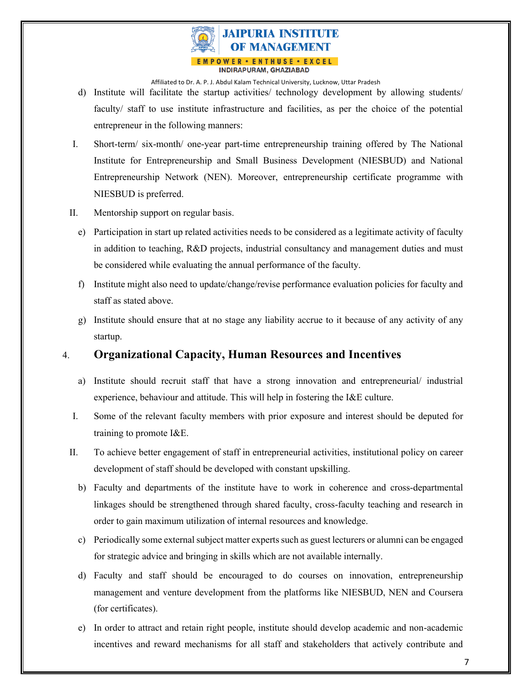

- d) Institute will facilitate the startup activities/ technology development by allowing students/ faculty/ staff to use institute infrastructure and facilities, as per the choice of the potential entrepreneur in the following manners:
- I. Short-term/ six-month/ one-year part-time entrepreneurship training offered by The National Institute for Entrepreneurship and Small Business Development (NIESBUD) and National Entrepreneurship Network (NEN). Moreover, entrepreneurship certificate programme with NIESBUD is preferred.
- II. Mentorship support on regular basis.
	- e) Participation in start up related activities needs to be considered as a legitimate activity of faculty in addition to teaching, R&D projects, industrial consultancy and management duties and must be considered while evaluating the annual performance of the faculty.
	- f) Institute might also need to update/change/revise performance evaluation policies for faculty and staff as stated above.
	- g) Institute should ensure that at no stage any liability accrue to it because of any activity of any startup.

#### 4. **Organizational Capacity, Human Resources and Incentives**

- a) Institute should recruit staff that have a strong innovation and entrepreneurial/ industrial experience, behaviour and attitude. This will help in fostering the I&E culture.
- I. Some of the relevant faculty members with prior exposure and interest should be deputed for training to promote I&E.
- II. To achieve better engagement of staff in entrepreneurial activities, institutional policy on career development of staff should be developed with constant upskilling.
	- b) Faculty and departments of the institute have to work in coherence and cross-departmental linkages should be strengthened through shared faculty, cross-faculty teaching and research in order to gain maximum utilization of internal resources and knowledge.
	- c) Periodically some external subject matter experts such as guest lecturers or alumni can be engaged for strategic advice and bringing in skills which are not available internally.
	- d) Faculty and staff should be encouraged to do courses on innovation, entrepreneurship management and venture development from the platforms like NIESBUD, NEN and Coursera (for certificates).
	- e) In order to attract and retain right people, institute should develop academic and non-academic incentives and reward mechanisms for all staff and stakeholders that actively contribute and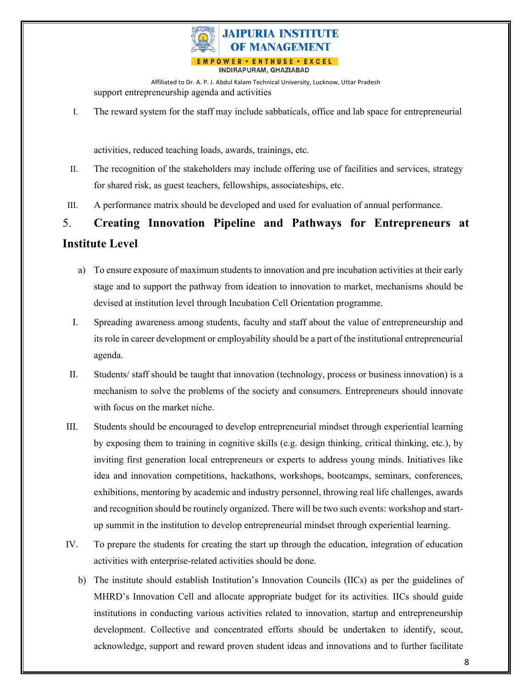

Affiliated to Dr. A. P. J. Abdul Kalam Technical University, Lucknow, Uttar Pradesh support entrepreneurship agenda and activities

I. The reward system for the staff may include sabbaticals, office and lab space for entrepreneurial

activities, reduced teaching loads, awards, trainings, etc.

- II. The recognition of the stakeholders may include offering use of facilities and services, strategy for shared risk, as guest teachers, fellowships, associateships, etc.
- III. A performance matrix should be developed and used for evaluation of annual performance.

# 5. **Creating Innovation Pipeline and Pathways for Entrepreneurs at**

#### **Institute Level**

- a) To ensure exposure of maximum students to innovation and pre incubation activities at their early stage and to support the pathway from ideation to innovation to market, mechanisms should be devised at institution level through Incubation Cell Orientation programme.
- I. Spreading awareness among students, faculty and staff about the value of entrepreneurship and its role in career development or employability should be a part of the institutional entrepreneurial agenda.
- II. Students/ staff should be taught that innovation (technology, process or business innovation) is a mechanism to solve the problems of the society and consumers. Entrepreneurs should innovate with focus on the market niche.
- III. Students should be encouraged to develop entrepreneurial mindset through experiential learning by exposing them to training in cognitive skills (e.g. design thinking, critical thinking, etc.), by inviting first generation local entrepreneurs or experts to address young minds. Initiatives like idea and innovation competitions, hackathons, workshops, bootcamps, seminars, conferences, exhibitions, mentoring by academic and industry personnel, throwing real life challenges, awards and recognition should be routinely organized. There will be two such events: workshop and startup summit in the institution to develop entrepreneurial mindset through experiential learning.
- IV. To prepare the students for creating the start up through the education, integration of education activities with enterprise-related activities should be done.
	- b) The institute should establish Institution's Innovation Councils (IICs) as per the guidelines of MHRD's Innovation Cell and allocate appropriate budget for its activities. IICs should guide institutions in conducting various activities related to innovation, startup and entrepreneurship development. Collective and concentrated efforts should be undertaken to identify, scout, acknowledge, support and reward proven student ideas and innovations and to further facilitate

8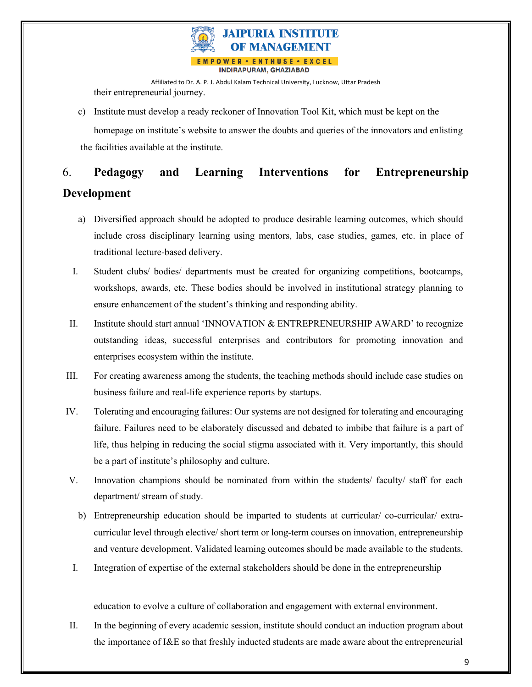

Affiliated to Dr. A. P. J. Abdul Kalam Technical University, Lucknow, Uttar Pradesh their entrepreneurial journey.

c) Institute must develop a ready reckoner of Innovation Tool Kit, which must be kept on the homepage on institute's website to answer the doubts and queries of the innovators and enlisting the facilities available at the institute.

## 6. **Pedagogy and Learning Interventions for Entrepreneurship Development**

- a) Diversified approach should be adopted to produce desirable learning outcomes, which should include cross disciplinary learning using mentors, labs, case studies, games, etc. in place of traditional lecture-based delivery.
- I. Student clubs/ bodies/ departments must be created for organizing competitions, bootcamps, workshops, awards, etc. These bodies should be involved in institutional strategy planning to ensure enhancement of the student's thinking and responding ability.
- II. Institute should start annual 'INNOVATION & ENTREPRENEURSHIP AWARD' to recognize outstanding ideas, successful enterprises and contributors for promoting innovation and enterprises ecosystem within the institute.
- III. For creating awareness among the students, the teaching methods should include case studies on business failure and real-life experience reports by startups.
- IV. Tolerating and encouraging failures: Our systems are not designed for tolerating and encouraging failure. Failures need to be elaborately discussed and debated to imbibe that failure is a part of life, thus helping in reducing the social stigma associated with it. Very importantly, this should be a part of institute's philosophy and culture.
- V. Innovation champions should be nominated from within the students/ faculty/ staff for each department/ stream of study.
	- b) Entrepreneurship education should be imparted to students at curricular/ co-curricular/ extracurricular level through elective/ short term or long-term courses on innovation, entrepreneurship and venture development. Validated learning outcomes should be made available to the students.
- I. Integration of expertise of the external stakeholders should be done in the entrepreneurship

education to evolve a culture of collaboration and engagement with external environment.

II. In the beginning of every academic session, institute should conduct an induction program about the importance of I&E so that freshly inducted students are made aware about the entrepreneurial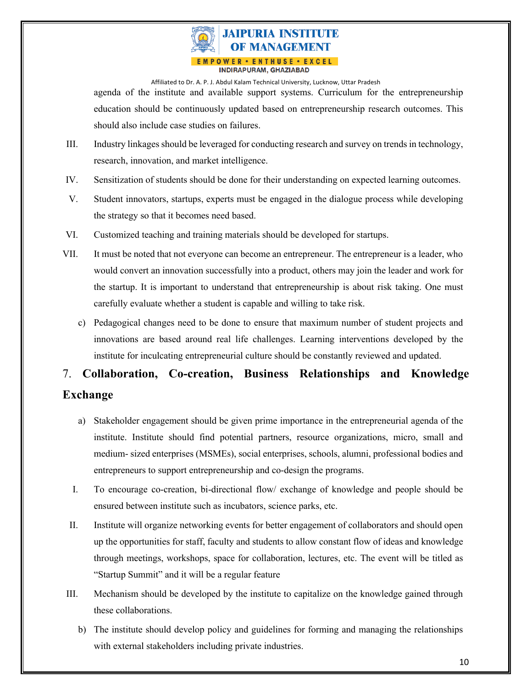

agenda of the institute and available support systems. Curriculum for the entrepreneurship education should be continuously updated based on entrepreneurship research outcomes. This should also include case studies on failures.

- III. Industry linkages should be leveraged for conducting research and survey on trends in technology, research, innovation, and market intelligence.
- IV. Sensitization of students should be done for their understanding on expected learning outcomes.
- V. Student innovators, startups, experts must be engaged in the dialogue process while developing the strategy so that it becomes need based.
- VI. Customized teaching and training materials should be developed for startups.
- VII. It must be noted that not everyone can become an entrepreneur. The entrepreneur is a leader, who would convert an innovation successfully into a product, others may join the leader and work for the startup. It is important to understand that entrepreneurship is about risk taking. One must carefully evaluate whether a student is capable and willing to take risk.
	- c) Pedagogical changes need to be done to ensure that maximum number of student projects and innovations are based around real life challenges. Learning interventions developed by the institute for inculcating entrepreneurial culture should be constantly reviewed and updated.

## 7. **Collaboration, Co-creation, Business Relationships and Knowledge Exchange**

- a) Stakeholder engagement should be given prime importance in the entrepreneurial agenda of the institute. Institute should find potential partners, resource organizations, micro, small and medium- sized enterprises (MSMEs), social enterprises, schools, alumni, professional bodies and entrepreneurs to support entrepreneurship and co-design the programs.
- I. To encourage co-creation, bi-directional flow/ exchange of knowledge and people should be ensured between institute such as incubators, science parks, etc.
- II. Institute will organize networking events for better engagement of collaborators and should open up the opportunities for staff, faculty and students to allow constant flow of ideas and knowledge through meetings, workshops, space for collaboration, lectures, etc. The event will be titled as "Startup Summit" and it will be a regular feature
- III. Mechanism should be developed by the institute to capitalize on the knowledge gained through these collaborations.
	- b) The institute should develop policy and guidelines for forming and managing the relationships with external stakeholders including private industries.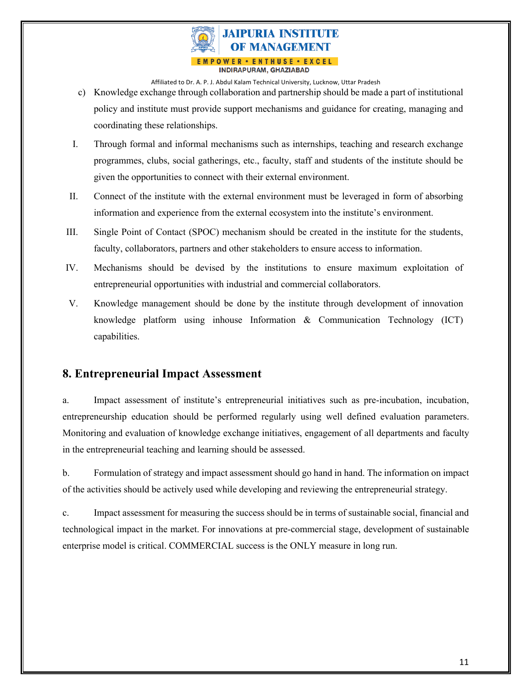

- c) Knowledge exchange through collaboration and partnership should be made a part of institutional policy and institute must provide support mechanisms and guidance for creating, managing and coordinating these relationships.
- I. Through formal and informal mechanisms such as internships, teaching and research exchange programmes, clubs, social gatherings, etc., faculty, staff and students of the institute should be given the opportunities to connect with their external environment.
- II. Connect of the institute with the external environment must be leveraged in form of absorbing information and experience from the external ecosystem into the institute's environment.
- III. Single Point of Contact (SPOC) mechanism should be created in the institute for the students, faculty, collaborators, partners and other stakeholders to ensure access to information.
- IV. Mechanisms should be devised by the institutions to ensure maximum exploitation of entrepreneurial opportunities with industrial and commercial collaborators.
- V. Knowledge management should be done by the institute through development of innovation knowledge platform using inhouse Information & Communication Technology (ICT) capabilities.

#### **8. Entrepreneurial Impact Assessment**

a. Impact assessment of institute's entrepreneurial initiatives such as pre-incubation, incubation, entrepreneurship education should be performed regularly using well defined evaluation parameters. Monitoring and evaluation of knowledge exchange initiatives, engagement of all departments and faculty in the entrepreneurial teaching and learning should be assessed.

b. Formulation of strategy and impact assessment should go hand in hand. The information on impact of the activities should be actively used while developing and reviewing the entrepreneurial strategy.

c. Impact assessment for measuring the success should be in terms of sustainable social, financial and technological impact in the market. For innovations at pre-commercial stage, development of sustainable enterprise model is critical. COMMERCIAL success is the ONLY measure in long run.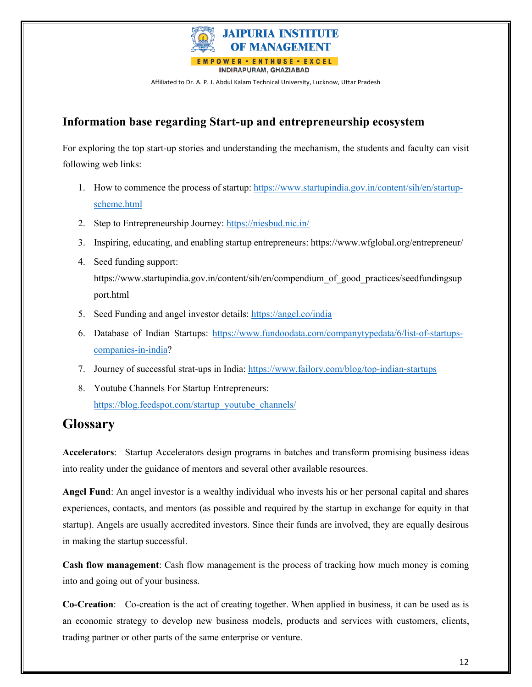

#### **Information base regarding Start-up and entrepreneurship ecosystem**

For exploring the top start-up stories and understanding the mechanism, the students and faculty can visit following web links:

- 1. How to commence the process of startup: https://www.startupindia.gov.in/content/sih/en/startupscheme.html
- 2. Step to Entrepreneurship Journey: https://niesbud.nic.in/
- 3. Inspiring, educating, and enabling startup entrepreneurs: https://www.wfglobal.org/entrepreneur/
- 4. Seed funding support:

https://www.startupindia.gov.in/content/sih/en/compendium of good practices/seedfundingsup port.html

- 5. Seed Funding and angel investor details: https://angel.co/india
- 6. Database of Indian Startups: https://www.fundoodata.com/companytypedata/6/list-of-startupscompanies-in-india?
- 7. Journey of successful strat-ups in India: https://www.failory.com/blog/top-indian-startups
- 8. Youtube Channels For Startup Entrepreneurs: https://blog.feedspot.com/startup\_youtube\_channels/

### **Glossary**

**Accelerators**: Startup Accelerators design programs in batches and transform promising business ideas into reality under the guidance of mentors and several other available resources.

**Angel Fund**: An angel investor is a wealthy individual who invests his or her personal capital and shares experiences, contacts, and mentors (as possible and required by the startup in exchange for equity in that startup). Angels are usually accredited investors. Since their funds are involved, they are equally desirous in making the startup successful.

**Cash flow management**: Cash flow management is the process of tracking how much money is coming into and going out of your business.

**Co-Creation**: Co-creation is the act of creating together. When applied in business, it can be used as is an economic strategy to develop new business models, products and services with customers, clients, trading partner or other parts of the same enterprise or venture.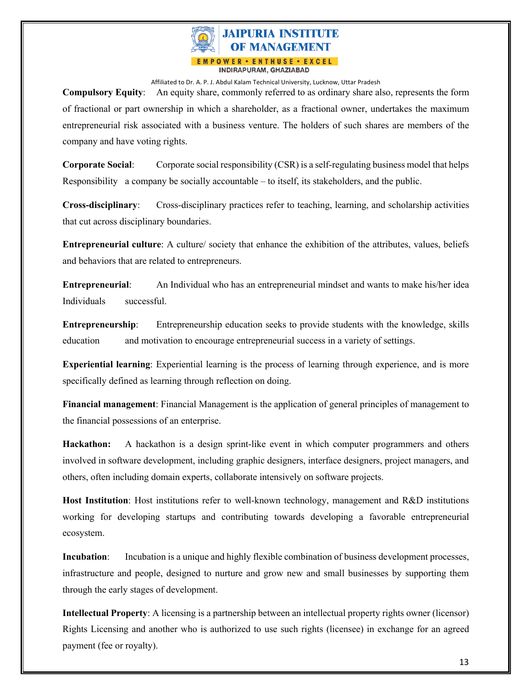

**Compulsory Equity**: An equity share, commonly referred to as ordinary share also, represents the form of fractional or part ownership in which a shareholder, as a fractional owner, undertakes the maximum entrepreneurial risk associated with a business venture. The holders of such shares are members of the company and have voting rights.

**Corporate Social**: Corporate social responsibility (CSR) is a self-regulating business model that helps Responsibility a company be socially accountable – to itself, its stakeholders, and the public.

**Cross-disciplinary**: Cross-disciplinary practices refer to teaching, learning, and scholarship activities that cut across disciplinary boundaries.

**Entrepreneurial culture**: A culture/ society that enhance the exhibition of the attributes, values, beliefs and behaviors that are related to entrepreneurs.

**Entrepreneurial**: An Individual who has an entrepreneurial mindset and wants to make his/her idea Individuals successful.

**Entrepreneurship**: Entrepreneurship education seeks to provide students with the knowledge, skills education and motivation to encourage entrepreneurial success in a variety of settings.

**Experiential learning**: Experiential learning is the process of learning through experience, and is more specifically defined as learning through reflection on doing.

**Financial management**: Financial Management is the application of general principles of management to the financial possessions of an enterprise.

**Hackathon:** A hackathon is a design sprint-like event in which computer programmers and others involved in software development, including graphic designers, interface designers, project managers, and others, often including domain experts, collaborate intensively on software projects.

**Host Institution**: Host institutions refer to well-known technology, management and R&D institutions working for developing startups and contributing towards developing a favorable entrepreneurial ecosystem.

**Incubation**: Incubation is a unique and highly flexible combination of business development processes, infrastructure and people, designed to nurture and grow new and small businesses by supporting them through the early stages of development.

**Intellectual Property**: A licensing is a partnership between an intellectual property rights owner (licensor) Rights Licensing and another who is authorized to use such rights (licensee) in exchange for an agreed payment (fee or royalty).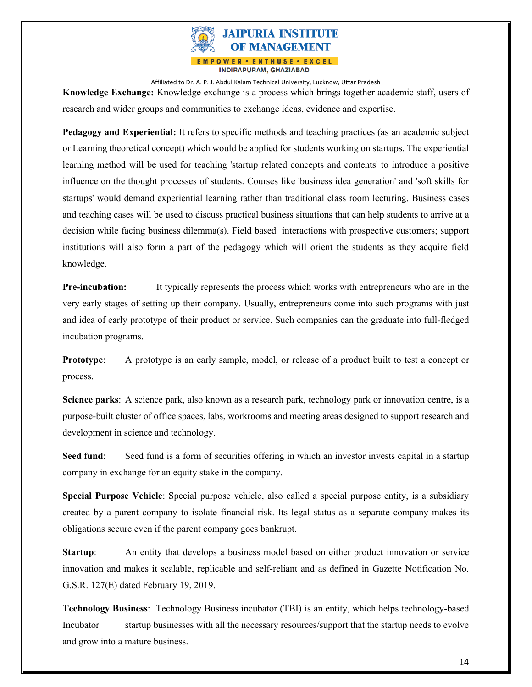

**Knowledge Exchange:** Knowledge exchange is a process which brings together academic staff, users of research and wider groups and communities to exchange ideas, evidence and expertise.

**Pedagogy and Experiential:** It refers to specific methods and teaching practices (as an academic subject or Learning theoretical concept) which would be applied for students working on startups. The experiential learning method will be used for teaching 'startup related concepts and contents' to introduce a positive influence on the thought processes of students. Courses like 'business idea generation' and 'soft skills for startups' would demand experiential learning rather than traditional class room lecturing. Business cases and teaching cases will be used to discuss practical business situations that can help students to arrive at a decision while facing business dilemma(s). Field based interactions with prospective customers; support institutions will also form a part of the pedagogy which will orient the students as they acquire field knowledge.

**Pre-incubation:** It typically represents the process which works with entrepreneurs who are in the very early stages of setting up their company. Usually, entrepreneurs come into such programs with just and idea of early prototype of their product or service. Such companies can the graduate into full-fledged incubation programs.

**Prototype:** A prototype is an early sample, model, or release of a product built to test a concept or process.

**Science parks**: A science park, also known as a research park, technology park or innovation centre, is a purpose-built cluster of office spaces, labs, workrooms and meeting areas designed to support research and development in science and technology.

**Seed fund:** Seed fund is a form of securities offering in which an investor invests capital in a startup company in exchange for an equity stake in the company.

**Special Purpose Vehicle**: Special purpose vehicle, also called a special purpose entity, is a subsidiary created by a parent company to isolate financial risk. Its legal status as a separate company makes its obligations secure even if the parent company goes bankrupt.

**Startup:** An entity that develops a business model based on either product innovation or service innovation and makes it scalable, replicable and self-reliant and as defined in Gazette Notification No. G.S.R. 127(E) dated February 19, 2019.

**Technology Business**: Technology Business incubator (TBI) is an entity, which helps technology-based Incubator startup businesses with all the necessary resources/support that the startup needs to evolve and grow into a mature business.